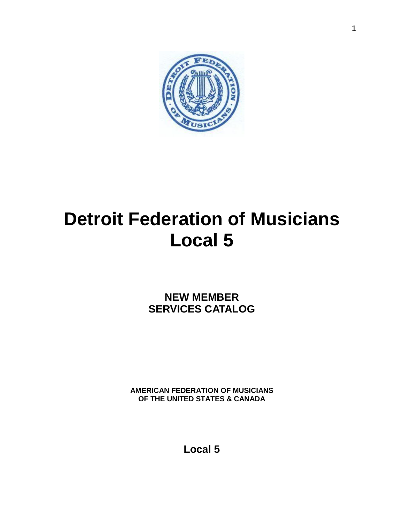

# **Detroit Federation of Musicians Local 5**

**NEW MEMBER SERVICES CATALOG**

**AMERICAN FEDERATION OF MUSICIANS OF THE UNITED STATES & CANADA**

**Local 5**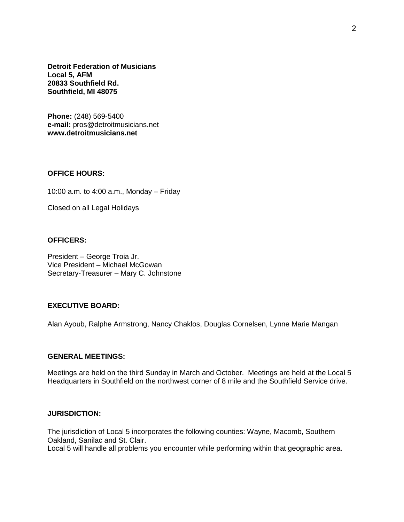**Detroit Federation of Musicians Local 5, AFM 20833 Southfield Rd. Southfield, MI 48075**

**Phone:** (248) 569-5400 **e-mail:** pros@detroitmusicians.net **www.detroitmusicians.net**

#### **OFFICE HOURS:**

10:00 a.m. to 4:00 a.m., Monday – Friday

Closed on all Legal Holidays

#### **OFFICERS:**

President – George Troia Jr. Vice President – Michael McGowan Secretary-Treasurer – Mary C. Johnstone

### **EXECUTIVE BOARD:**

Alan Ayoub, Ralphe Armstrong, Nancy Chaklos, Douglas Cornelsen, Lynne Marie Mangan

#### **GENERAL MEETINGS:**

Meetings are held on the third Sunday in March and October. Meetings are held at the Local 5 Headquarters in Southfield on the northwest corner of 8 mile and the Southfield Service drive.

#### **JURISDICTION:**

The jurisdiction of Local 5 incorporates the following counties: Wayne, Macomb, Southern Oakland, Sanilac and St. Clair.

Local 5 will handle all problems you encounter while performing within that geographic area.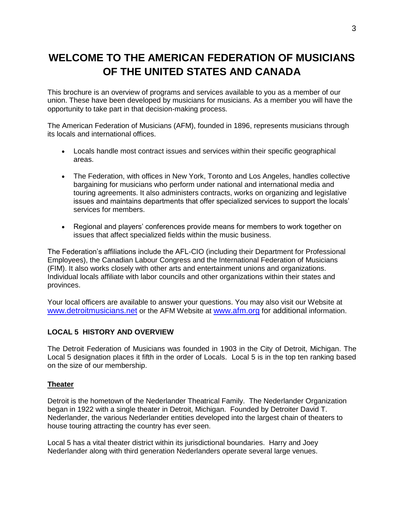## **WELCOME TO THE AMERICAN FEDERATION OF MUSICIANS OF THE UNITED STATES AND CANADA**

This brochure is an overview of programs and services available to you as a member of our union. These have been developed by musicians for musicians. As a member you will have the opportunity to take part in that decision-making process.

The American Federation of Musicians (AFM), founded in 1896, represents musicians through its locals and international offices.

- Locals handle most contract issues and services within their specific geographical areas.
- The Federation, with offices in New York, Toronto and Los Angeles, handles collective bargaining for musicians who perform under national and international media and touring agreements. It also administers contracts, works on organizing and legislative issues and maintains departments that offer specialized services to support the locals' services for members.
- Regional and players' conferences provide means for members to work together on issues that affect specialized fields within the music business.

The Federation's affiliations include the AFL-CIO (including their Department for Professional Employees), the Canadian Labour Congress and the International Federation of Musicians (FIM). It also works closely with other arts and entertainment unions and organizations. Individual locals affiliate with labor councils and other organizations within their states and provinces.

Your local officers are available to answer your questions. You may also visit our Website at [www.detroitmusicians.net](http://www.detroitmusicians.net/) or the AFM Website at [www.afm.org](http://www.afm.org/) for additional information.

#### **LOCAL 5 HISTORY AND OVERVIEW**

The Detroit Federation of Musicians was founded in 1903 in the City of Detroit, Michigan. The Local 5 designation places it fifth in the order of Locals. Local 5 is in the top ten ranking based on the size of our membership.

#### **Theater**

Detroit is the hometown of the Nederlander Theatrical Family. The Nederlander Organization began in 1922 with a single theater in Detroit, Michigan. Founded by Detroiter David T. Nederlander, the various Nederlander entities developed into the largest chain of theaters to house touring attracting the country has ever seen.

Local 5 has a vital theater district within its jurisdictional boundaries. Harry and Joey Nederlander along with third generation Nederlanders operate several large venues.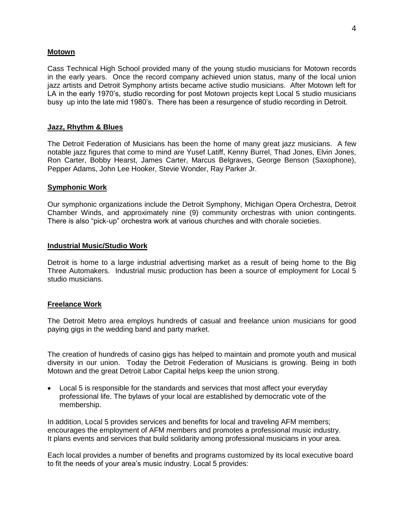#### **Motown**

Cass Technical High School provided many of the young studio musicians for Motown records in the early years. Once the record company achieved union status, many of the local union jazz artists and Detroit Symphony artists became active studio musicians. After Motown left for LA in the early 1970's, studio recording for post Motown projects kept Local 5 studio musicians busy up into the late mid 1980's. There has been a resurgence of studio recording in Detroit.

#### **Jazz, Rhythm & Blues**

The Detroit Federation of Musicians has been the home of many great jazz musicians. A few notable jazz figures that come to mind are Yusef Latiff, Kenny Burrel, Thad Jones, Elvin Jones, Ron Carter, Bobby Hearst, James Carter, Marcus Belgraves, George Benson (Saxophone), Pepper Adams, John Lee Hooker, Stevie Wonder, Ray Parker Jr.

#### **Symphonic Work**

Our symphonic organizations include the Detroit Symphony, Michigan Opera Orchestra, Detroit Chamber Winds, and approximately nine (9) community orchestras with union contingents. There is also "pick-up" orchestra work at various churches and with chorale societies.

#### **Industrial Music/Studio Work**

Detroit is home to a large industrial advertising market as a result of being home to the Big Three Automakers. Industrial music production has been a source of employment for Local 5 studio musicians.

#### **Freelance Work**

The Detroit Metro area employs hundreds of casual and freelance union musicians for good paying gigs in the wedding band and party market.

The creation of hundreds of casino gigs has helped to maintain and promote youth and musical diversity in our union. Today the Detroit Federation of Musicians is growing. Being in both Motown and the great Detroit Labor Capital helps keep the union strong.

• Local 5 is responsible for the standards and services that most affect your everyday professional life. The bylaws of your local are established by democratic vote of the membership.

In addition, Local 5 provides services and benefits for local and traveling AFM members; encourages the employment of AFM members and promotes a professional music industry. It plans events and services that build solidarity among professional musicians in your area.

Each local provides a number of benefits and programs customized by its local executive board to fit the needs of your area's music industry. Local 5 provides: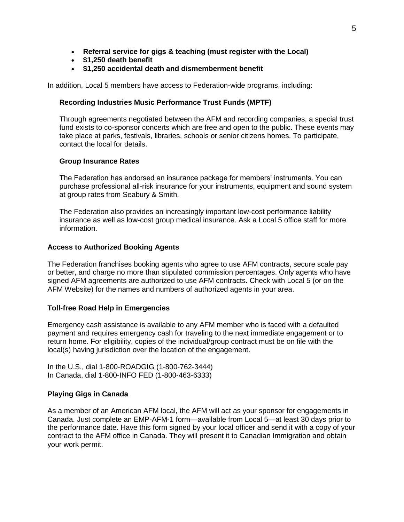- **Referral service for gigs & teaching (must register with the Local)**
- **\$1,250 death benefit**
- **\$1,250 accidental death and dismemberment benefit**

In addition, Local 5 members have access to Federation-wide programs, including:

#### **Recording Industries Music Performance Trust Funds (MPTF)**

Through agreements negotiated between the AFM and recording companies, a special trust fund exists to co-sponsor concerts which are free and open to the public. These events may take place at parks, festivals, libraries, schools or senior citizens homes. To participate, contact the local for details.

#### **Group Insurance Rates**

The Federation has endorsed an insurance package for members' instruments. You can purchase professional all-risk insurance for your instruments, equipment and sound system at group rates from Seabury & Smith.

The Federation also provides an increasingly important low-cost performance liability insurance as well as low-cost group medical insurance. Ask a Local 5 office staff for more information.

#### **Access to Authorized Booking Agents**

The Federation franchises booking agents who agree to use AFM contracts, secure scale pay or better, and charge no more than stipulated commission percentages. Only agents who have signed AFM agreements are authorized to use AFM contracts. Check with Local 5 (or on the AFM Website) for the names and numbers of authorized agents in your area.

#### **Toll-free Road Help in Emergencies**

Emergency cash assistance is available to any AFM member who is faced with a defaulted payment and requires emergency cash for traveling to the next immediate engagement or to return home. For eligibility, copies of the individual/group contract must be on file with the local(s) having jurisdiction over the location of the engagement.

In the U.S., dial 1-800-ROADGIG (1-800-762-3444) In Canada, dial 1-800-INFO FED (1-800-463-6333)

#### **Playing Gigs in Canada**

As a member of an American AFM local, the AFM will act as your sponsor for engagements in Canada. Just complete an EMP-AFM-1 form—available from Local 5—at least 30 days prior to the performance date. Have this form signed by your local officer and send it with a copy of your contract to the AFM office in Canada. They will present it to Canadian Immigration and obtain your work permit.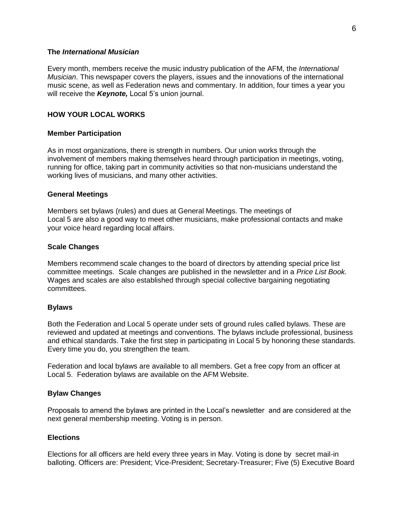#### **The** *International Musician*

Every month, members receive the music industry publication of the AFM, the *International Musician*. This newspaper covers the players, issues and the innovations of the international music scene, as well as Federation news and commentary. In addition, four times a year you will receive the *Keynote,* Local 5's union journal.

#### **HOW YOUR LOCAL WORKS**

#### **Member Participation**

As in most organizations, there is strength in numbers. Our union works through the involvement of members making themselves heard through participation in meetings, voting, running for office, taking part in community activities so that non-musicians understand the working lives of musicians, and many other activities.

#### **General Meetings**

Members set bylaws (rules) and dues at General Meetings. The meetings of Local 5 are also a good way to meet other musicians, make professional contacts and make your voice heard regarding local affairs.

#### **Scale Changes**

Members recommend scale changes to the board of directors by attending special price list committee meetings. Scale changes are published in the newsletter and in a *Price List Book.*  Wages and scales are also established through special collective bargaining negotiating committees.

#### **Bylaws**

Both the Federation and Local 5 operate under sets of ground rules called bylaws. These are reviewed and updated at meetings and conventions. The bylaws include professional, business and ethical standards. Take the first step in participating in Local 5 by honoring these standards. Every time you do, you strengthen the team.

Federation and local bylaws are available to all members. Get a free copy from an officer at Local 5. Federation bylaws are available on the AFM Website.

#### **Bylaw Changes**

Proposals to amend the bylaws are printed in the Local's newsletter and are considered at the next general membership meeting. Voting is in person.

#### **Elections**

Elections for all officers are held every three years in May. Voting is done by secret mail-in balloting. Officers are: President; Vice-President; Secretary-Treasurer; Five (5) Executive Board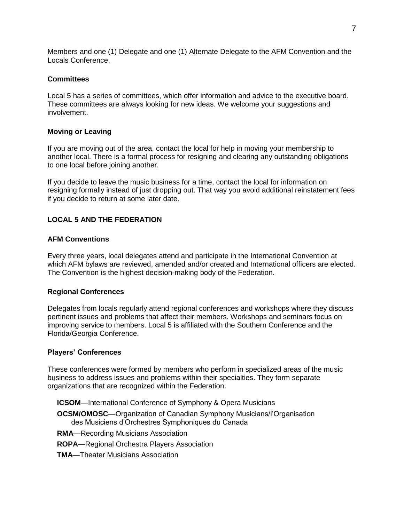Members and one (1) Delegate and one (1) Alternate Delegate to the AFM Convention and the Locals Conference.

#### **Committees**

Local 5 has a series of committees, which offer information and advice to the executive board. These committees are always looking for new ideas. We welcome your suggestions and involvement.

#### **Moving or Leaving**

If you are moving out of the area, contact the local for help in moving your membership to another local. There is a formal process for resigning and clearing any outstanding obligations to one local before joining another.

If you decide to leave the music business for a time, contact the local for information on resigning formally instead of just dropping out. That way you avoid additional reinstatement fees if you decide to return at some later date.

#### **LOCAL 5 AND THE FEDERATION**

#### **AFM Conventions**

Every three years, local delegates attend and participate in the International Convention at which AFM bylaws are reviewed, amended and/or created and International officers are elected. The Convention is the highest decision-making body of the Federation.

#### **Regional Conferences**

Delegates from locals regularly attend regional conferences and workshops where they discuss pertinent issues and problems that affect their members. Workshops and seminars focus on improving service to members. Local 5 is affiliated with the Southern Conference and the Florida/Georgia Conference.

#### **Players' Conferences**

These conferences were formed by members who perform in specialized areas of the music business to address issues and problems within their specialties. They form separate organizations that are recognized within the Federation.

- **ICSOM**—International Conference of Symphony & Opera Musicians
- **OCSM/OMOSC**—Organization of Canadian Symphony Musicians/l'Organisation des Musiciens d'Orchestres Symphoniques du Canada
- **RMA**—Recording Musicians Association
- **ROPA**—Regional Orchestra Players Association
- **TMA**—Theater Musicians Association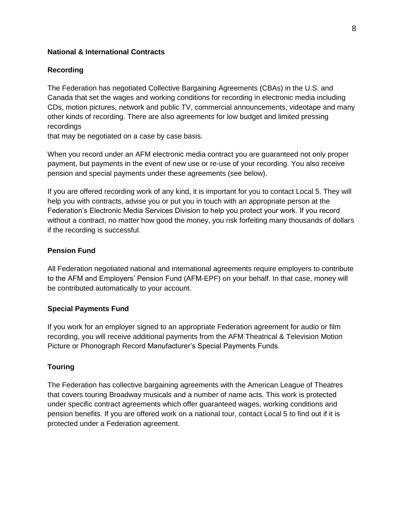#### **National & International Contracts**

#### **Recording**

The Federation has negotiated Collective Bargaining Agreements (CBAs) in the U.S. and Canada that set the wages and working conditions for recording in electronic media including CDs, motion pictures, network and public TV, commercial announcements, videotape and many other kinds of recording. There are also agreements for low budget and limited pressing recordings

that may be negotiated on a case by case basis.

When you record under an AFM electronic media contract you are guaranteed not only proper payment, but payments in the event of new use or re-use of your recording. You also receive pension and special payments under these agreements (see below).

If you are offered recording work of any kind, it is important for you to contact Local 5. They will help you with contracts, advise you or put you in touch with an appropriate person at the Federation's Electronic Media Services Division to help you protect your work. If you record without a contract, no matter how good the money, you risk forfeiting many thousands of dollars if the recording is successful.

#### **Pension Fund**

All Federation negotiated national and international agreements require employers to contribute to the AFM and Employers' Pension Fund (AFM-EPF) on your behalf. In that case, money will be contributed automatically to your account.

#### **Special Payments Fund**

If you work for an employer signed to an appropriate Federation agreement for audio or film recording, you will receive additional payments from the AFM Theatrical & Television Motion Picture or Phonograph Record Manufacturer's Special Payments Funds.

#### **Touring**

The Federation has collective bargaining agreements with the American League of Theatres that covers touring Broadway musicals and a number of name acts. This work is protected under specific contract agreements which offer guaranteed wages, working conditions and pension benefits. If you are offered work on a national tour, contact Local 5 to find out if it is protected under a Federation agreement.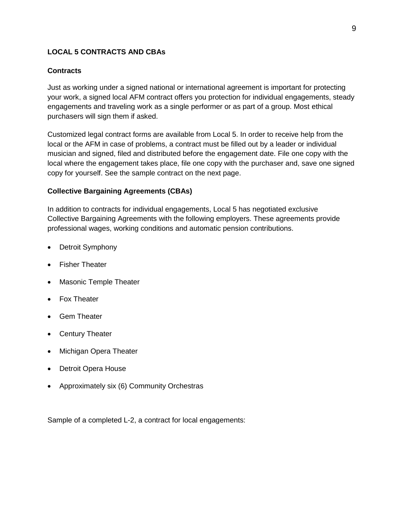### **LOCAL 5 CONTRACTS AND CBAs**

#### **Contracts**

Just as working under a signed national or international agreement is important for protecting your work, a signed local AFM contract offers you protection for individual engagements, steady engagements and traveling work as a single performer or as part of a group. Most ethical purchasers will sign them if asked.

Customized legal contract forms are available from Local 5. In order to receive help from the local or the AFM in case of problems, a contract must be filled out by a leader or individual musician and signed, filed and distributed before the engagement date. File one copy with the local where the engagement takes place, file one copy with the purchaser and, save one signed copy for yourself. See the sample contract on the next page.

#### **Collective Bargaining Agreements (CBAs)**

In addition to contracts for individual engagements, Local 5 has negotiated exclusive Collective Bargaining Agreements with the following employers. These agreements provide professional wages, working conditions and automatic pension contributions.

- Detroit Symphony
- Fisher Theater
- Masonic Temple Theater
- Fox Theater
- Gem Theater
- Century Theater
- Michigan Opera Theater
- Detroit Opera House
- Approximately six (6) Community Orchestras

Sample of a completed L-2, a contract for local engagements: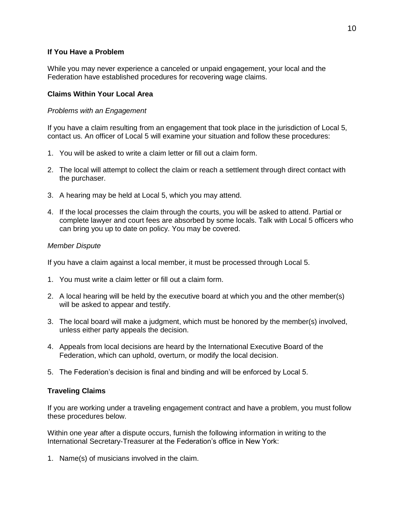#### **If You Have a Problem**

While you may never experience a canceled or unpaid engagement, your local and the Federation have established procedures for recovering wage claims.

#### **Claims Within Your Local Area**

#### *Problems with an Engagement*

If you have a claim resulting from an engagement that took place in the jurisdiction of Local 5, contact us. An officer of Local 5 will examine your situation and follow these procedures:

- 1. You will be asked to write a claim letter or fill out a claim form.
- 2. The local will attempt to collect the claim or reach a settlement through direct contact with the purchaser.
- 3. A hearing may be held at Local 5, which you may attend.
- 4. If the local processes the claim through the courts, you will be asked to attend. Partial or complete lawyer and court fees are absorbed by some locals. Talk with Local 5 officers who can bring you up to date on policy. You may be covered.

#### *Member Dispute*

If you have a claim against a local member, it must be processed through Local 5.

- 1. You must write a claim letter or fill out a claim form.
- 2. A local hearing will be held by the executive board at which you and the other member(s) will be asked to appear and testify.
- 3. The local board will make a judgment, which must be honored by the member(s) involved, unless either party appeals the decision.
- 4. Appeals from local decisions are heard by the International Executive Board of the Federation, which can uphold, overturn, or modify the local decision.
- 5. The Federation's decision is final and binding and will be enforced by Local 5.

#### **Traveling Claims**

If you are working under a traveling engagement contract and have a problem, you must follow these procedures below.

Within one year after a dispute occurs, furnish the following information in writing to the International Secretary-Treasurer at the Federation's office in New York:

1. Name(s) of musicians involved in the claim.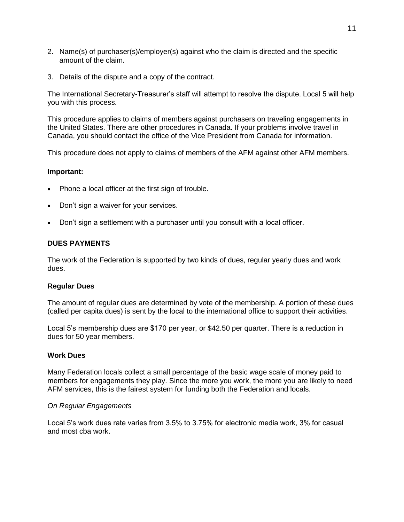- 2. Name(s) of purchaser(s)/employer(s) against who the claim is directed and the specific amount of the claim.
- 3. Details of the dispute and a copy of the contract.

The International Secretary-Treasurer's staff will attempt to resolve the dispute. Local 5 will help you with this process.

This procedure applies to claims of members against purchasers on traveling engagements in the United States. There are other procedures in Canada. If your problems involve travel in Canada, you should contact the office of the Vice President from Canada for information.

This procedure does not apply to claims of members of the AFM against other AFM members.

#### **Important:**

- Phone a local officer at the first sign of trouble.
- Don't sign a waiver for your services.
- Don't sign a settlement with a purchaser until you consult with a local officer.

#### **DUES PAYMENTS**

The work of the Federation is supported by two kinds of dues, regular yearly dues and work dues.

#### **Regular Dues**

The amount of regular dues are determined by vote of the membership. A portion of these dues (called per capita dues) is sent by the local to the international office to support their activities.

Local 5's membership dues are \$170 per year, or \$42.50 per quarter. There is a reduction in dues for 50 year members.

#### **Work Dues**

Many Federation locals collect a small percentage of the basic wage scale of money paid to members for engagements they play. Since the more you work, the more you are likely to need AFM services, this is the fairest system for funding both the Federation and locals.

#### *On Regular Engagements*

Local 5's work dues rate varies from 3.5% to 3.75% for electronic media work, 3% for casual and most cba work.